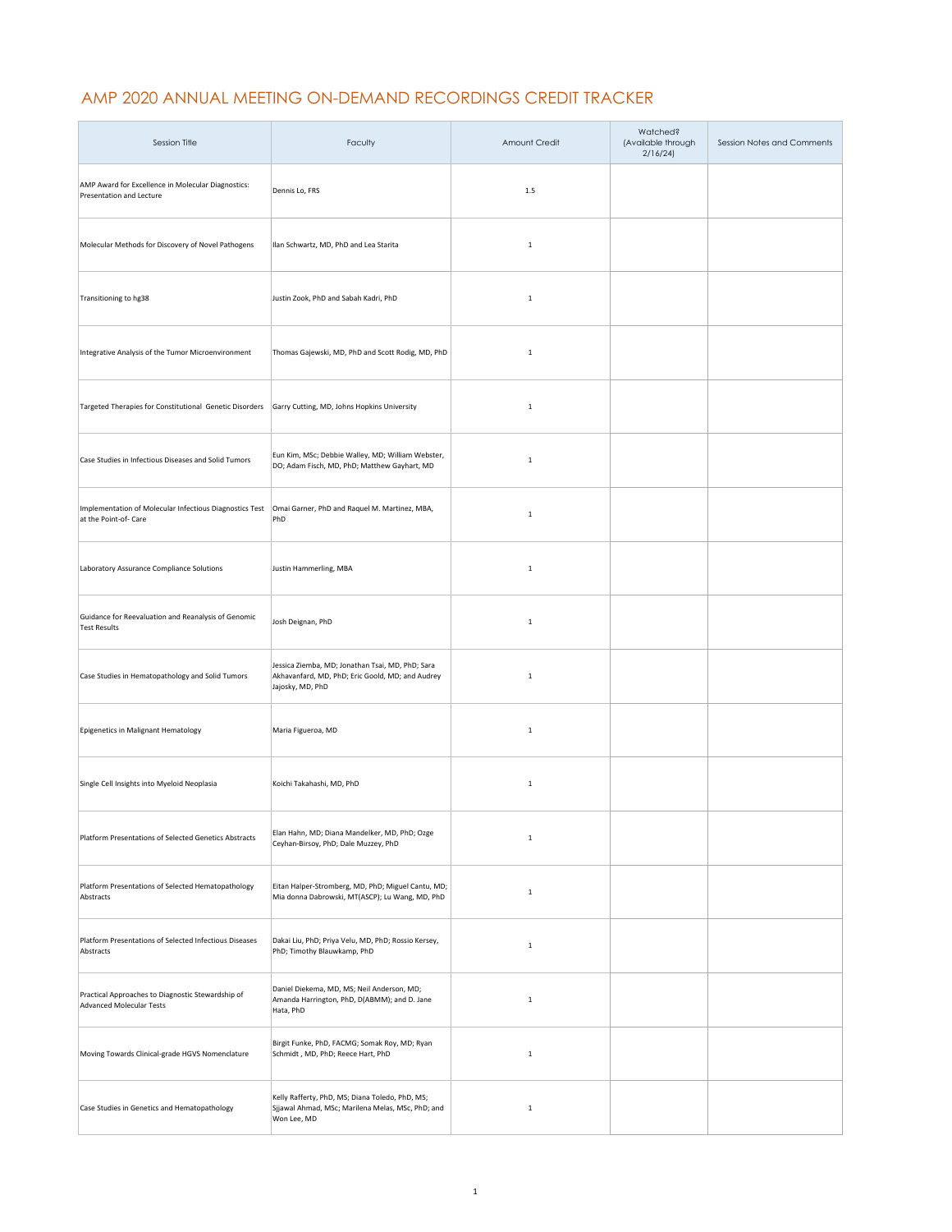## AMP 2020 ANNUAL MEETING ON-DEMAND RECORDINGS CREDIT TRACKER

| Session Title                                                                    | Faculty                                                                                                                  | Amount Credit | Watched?<br>(Available through<br>2/16/24 | Session Notes and Comments |
|----------------------------------------------------------------------------------|--------------------------------------------------------------------------------------------------------------------------|---------------|-------------------------------------------|----------------------------|
| AMP Award for Excellence in Molecular Diagnostics:<br>Presentation and Lecture   | Dennis Lo, FRS                                                                                                           | 1.5           |                                           |                            |
| Molecular Methods for Discovery of Novel Pathogens                               | Ilan Schwartz, MD, PhD and Lea Starita                                                                                   | $\,$ 1 $\,$   |                                           |                            |
| Transitioning to hg38                                                            | Justin Zook, PhD and Sabah Kadri, PhD                                                                                    | $\,1\,$       |                                           |                            |
| Integrative Analysis of the Tumor Microenvironment                               | Thomas Gajewski, MD, PhD and Scott Rodig, MD, PhD                                                                        | $\mathbf 1$   |                                           |                            |
| Targeted Therapies for Constitutional Genetic Disorders                          | Garry Cutting, MD, Johns Hopkins University                                                                              | $\mathbf 1$   |                                           |                            |
| Case Studies in Infectious Diseases and Solid Tumors                             | Eun Kim, MSc; Debbie Walley, MD; William Webster,<br>DO; Adam Fisch, MD, PhD; Matthew Gayhart, MD                        | $\mathbf 1$   |                                           |                            |
| Implementation of Molecular Infectious Diagnostics Test<br>at the Point-of- Care | Omai Garner, PhD and Raquel M. Martinez, MBA,<br>PhD                                                                     | $\mathbf 1$   |                                           |                            |
| Laboratory Assurance Compliance Solutions                                        | Justin Hammerling, MBA                                                                                                   | $\mathbf 1$   |                                           |                            |
| Guidance for Reevaluation and Reanalysis of Genomic<br><b>Test Results</b>       | Josh Deignan, PhD                                                                                                        | $\mathbf 1$   |                                           |                            |
| Case Studies in Hematopathology and Solid Tumors                                 | Jessica Ziemba, MD; Jonathan Tsai, MD, PhD; Sara<br>Akhavanfard, MD, PhD; Eric Goold, MD; and Audrey<br>Jajosky, MD, PhD | $\,1\,$       |                                           |                            |
| Epigenetics in Malignant Hematology                                              | Maria Figueroa, MD                                                                                                       | $\mathbf 1$   |                                           |                            |
| Single Cell Insights into Myeloid Neoplasia                                      | Koichi Takahashi, MD, PhD                                                                                                | $\mathbf{1}$  |                                           |                            |
| Platform Presentations of Selected Genetics Abstracts                            | Elan Hahn, MD; Diana Mandelker, MD, PhD; Ozge<br>Ceyhan-Birsoy, PhD; Dale Muzzey, PhD                                    | $\mathbf 1$   |                                           |                            |
| Platform Presentations of Selected Hematopathology<br>Abstracts                  | Eitan Halper-Stromberg, MD, PhD; Miguel Cantu, MD;<br>Mia donna Dabrowski, MT(ASCP); Lu Wang, MD, PhD                    | $\mathbf 1$   |                                           |                            |
| Platform Presentations of Selected Infectious Diseases<br>Abstracts              | Dakai Liu, PhD; Priya Velu, MD, PhD; Rossio Kersey,<br>PhD; Timothy Blauwkamp, PhD                                       | $\mathbf 1$   |                                           |                            |
| Practical Approaches to Diagnostic Stewardship of<br>Advanced Molecular Tests    | Daniel Diekema, MD, MS; Neil Anderson, MD;<br>Amanda Harrington, PhD, D(ABMM); and D. Jane<br>Hata, PhD                  | $\mathbf 1$   |                                           |                            |
| Moving Towards Clinical-grade HGVS Nomenclature                                  | Birgit Funke, PhD, FACMG; Somak Roy, MD; Ryan<br>Schmidt, MD, PhD; Reece Hart, PhD                                       | $\,1\,$       |                                           |                            |
| Case Studies in Genetics and Hematopathology                                     | Kelly Rafferty, PhD, MS; Diana Toledo, PhD, MS;<br>Sjjawal Ahmad, MSc; Marilena Melas, MSc, PhD; and<br>Won Lee, MD      | $\mathbf 1$   |                                           |                            |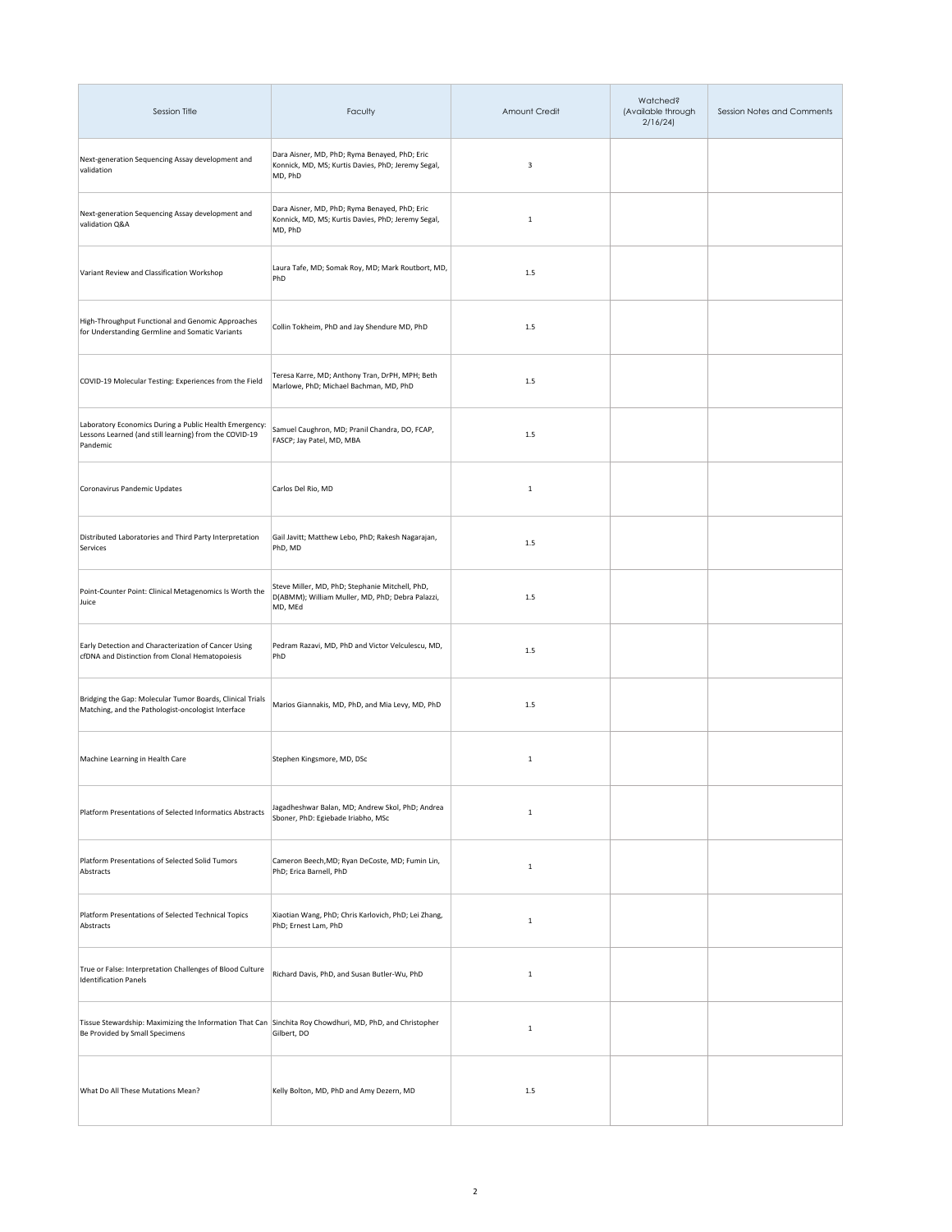| Session Title                                                                                                                              | Faculty                                                                                                        | Amount Credit | Watched?<br>(Available through<br>2/16/24 | Session Notes and Comments |
|--------------------------------------------------------------------------------------------------------------------------------------------|----------------------------------------------------------------------------------------------------------------|---------------|-------------------------------------------|----------------------------|
| Next-generation Sequencing Assay development and<br>validation                                                                             | Dara Aisner, MD, PhD; Ryma Benayed, PhD; Eric<br>Konnick, MD, MS; Kurtis Davies, PhD; Jeremy Segal,<br>MD, PhD | 3             |                                           |                            |
| Next-generation Sequencing Assay development and<br>validation Q&A                                                                         | Dara Aisner, MD, PhD; Ryma Benayed, PhD; Eric<br>Konnick, MD, MS; Kurtis Davies, PhD; Jeremy Segal,<br>MD, PhD | $\mathbf{1}$  |                                           |                            |
| Variant Review and Classification Workshop                                                                                                 | Laura Tafe, MD; Somak Roy, MD; Mark Routbort, MD,<br>PhD                                                       | 1.5           |                                           |                            |
| High-Throughput Functional and Genomic Approaches<br>for Understanding Germline and Somatic Variants                                       | Collin Tokheim, PhD and Jay Shendure MD, PhD                                                                   | 1.5           |                                           |                            |
| COVID-19 Molecular Testing: Experiences from the Field                                                                                     | Teresa Karre, MD; Anthony Tran, DrPH, MPH; Beth<br>Marlowe, PhD; Michael Bachman, MD, PhD                      | $1.5\,$       |                                           |                            |
| Laboratory Economics During a Public Health Emergency:<br>Lessons Learned (and still learning) from the COVID-19<br>Pandemic               | Samuel Caughron, MD; Pranil Chandra, DO, FCAP,<br>FASCP; Jay Patel, MD, MBA                                    | $1.5\,$       |                                           |                            |
| Coronavirus Pandemic Updates                                                                                                               | Carlos Del Rio, MD                                                                                             | $\,$ 1        |                                           |                            |
| Distributed Laboratories and Third Party Interpretation<br>Services                                                                        | Gail Javitt; Matthew Lebo, PhD; Rakesh Nagarajan,<br>PhD, MD                                                   | $1.5\,$       |                                           |                            |
| Point-Counter Point: Clinical Metagenomics Is Worth the<br>Juice                                                                           | Steve Miller, MD, PhD; Stephanie Mitchell, PhD,<br>D(ABMM); William Muller, MD, PhD; Debra Palazzi,<br>MD, MEd | $1.5\,$       |                                           |                            |
| Early Detection and Characterization of Cancer Using<br>cfDNA and Distinction from Clonal Hematopoiesis                                    | Pedram Razavi, MD, PhD and Victor Velculescu, MD,<br>PhD                                                       | 1.5           |                                           |                            |
| Bridging the Gap: Molecular Tumor Boards, Clinical Trials<br>Matching, and the Pathologist-oncologist Interface                            | Marios Giannakis, MD, PhD, and Mia Levy, MD, PhD                                                               | $1.5$         |                                           |                            |
| Machine Learning in Health Care                                                                                                            | Stephen Kingsmore, MD, DSc                                                                                     | $\,$ 1        |                                           |                            |
| Platform Presentations of Selected Informatics Abstracts                                                                                   | Jagadheshwar Balan, MD; Andrew Skol, PhD; Andrea<br>Sboner, PhD: Egiebade Iriabho, MSc                         | $\,$ 1 $\,$   |                                           |                            |
| Platform Presentations of Selected Solid Tumors<br>Abstracts                                                                               | Cameron Beech, MD; Ryan DeCoste, MD; Fumin Lin,<br>PhD; Erica Barnell, PhD                                     | $\,$ 1        |                                           |                            |
| Platform Presentations of Selected Technical Topics<br>Abstracts                                                                           | Xiaotian Wang, PhD; Chris Karlovich, PhD; Lei Zhang,<br>PhD; Ernest Lam, PhD                                   | $\mathbf 1$   |                                           |                            |
| True or False: Interpretation Challenges of Blood Culture<br><b>Identification Panels</b>                                                  | Richard Davis, PhD, and Susan Butler-Wu, PhD                                                                   | $\mathbf{1}$  |                                           |                            |
| Tissue Stewardship: Maximizing the Information That Can Sinchita Roy Chowdhuri, MD, PhD, and Christopher<br>Be Provided by Small Specimens | Gilbert, DO                                                                                                    | $\mathbf{1}$  |                                           |                            |
| What Do All These Mutations Mean?                                                                                                          | Kelly Bolton, MD, PhD and Amy Dezern, MD                                                                       | $1.5\,$       |                                           |                            |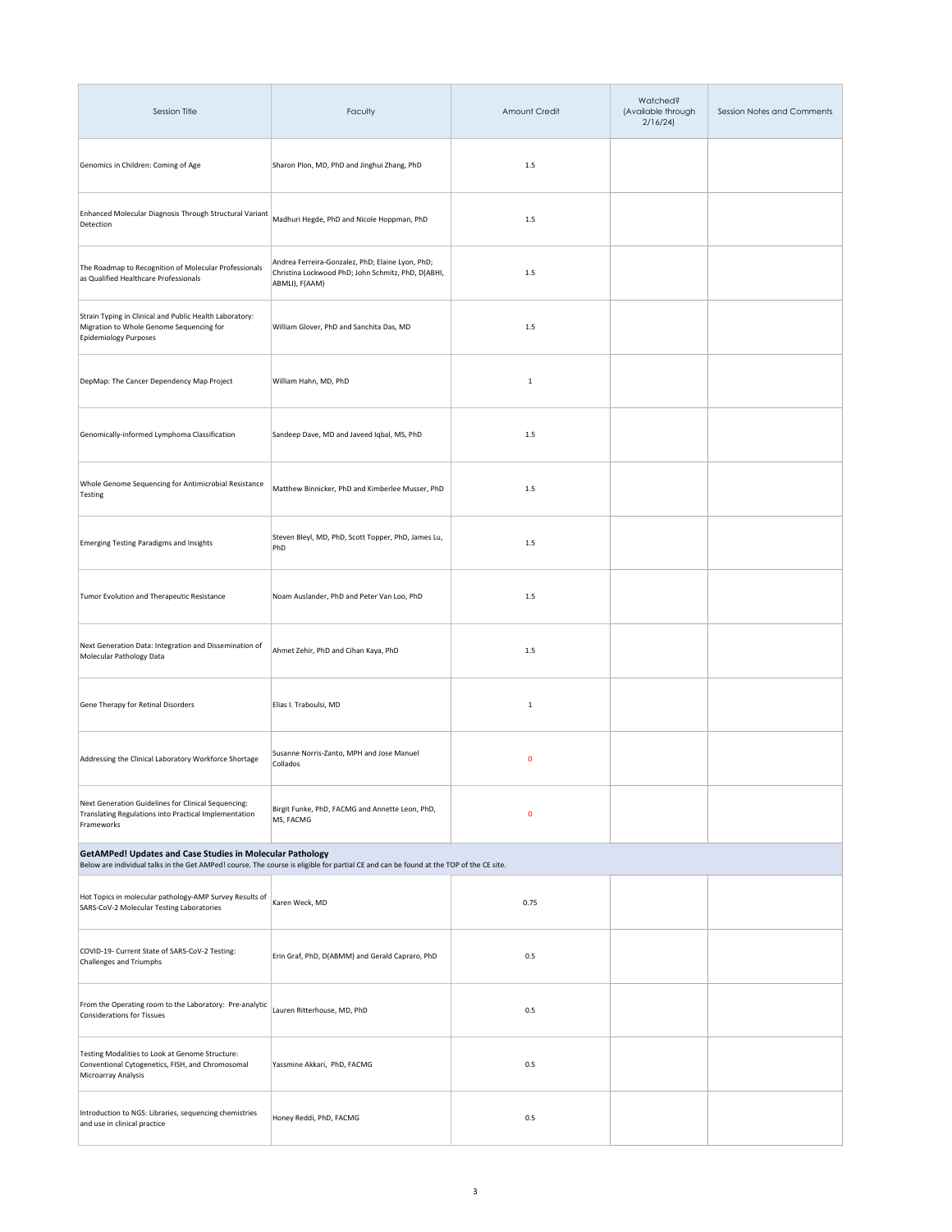| Session Title                                                                                                                                                                                              | Faculty                                                                                                                  | Amount Credit | Watched?<br>(Available through<br>2/16/24 | Session Notes and Comments |  |
|------------------------------------------------------------------------------------------------------------------------------------------------------------------------------------------------------------|--------------------------------------------------------------------------------------------------------------------------|---------------|-------------------------------------------|----------------------------|--|
| Genomics in Children: Coming of Age                                                                                                                                                                        | Sharon Plon, MD, PhD and Jinghui Zhang, PhD                                                                              | $1.5\,$       |                                           |                            |  |
| Enhanced Molecular Diagnosis Through Structural Variant<br>Detection                                                                                                                                       | Madhuri Hegde, PhD and Nicole Hoppman, PhD                                                                               | 1.5           |                                           |                            |  |
| The Roadmap to Recognition of Molecular Professionals<br>as Qualified Healthcare Professionals                                                                                                             | Andrea Ferreira-Gonzalez, PhD; Elaine Lyon, PhD;<br>Christina Lockwood PhD; John Schmitz, PhD, D(ABHI,<br>ABMLI), F(AAM) | $1.5\,$       |                                           |                            |  |
| Strain Typing in Clinical and Public Health Laboratory:<br>Migration to Whole Genome Sequencing for<br>Epidemiology Purposes                                                                               | William Glover, PhD and Sanchita Das, MD                                                                                 | $1.5\,$       |                                           |                            |  |
| DepMap: The Cancer Dependency Map Project                                                                                                                                                                  | William Hahn, MD, PhD                                                                                                    | $\mathbf{1}$  |                                           |                            |  |
| Genomically-informed Lymphoma Classification                                                                                                                                                               | Sandeep Dave, MD and Javeed Igbal, MS, PhD                                                                               | 1.5           |                                           |                            |  |
| Whole Genome Sequencing for Antimicrobial Resistance<br>Testing                                                                                                                                            | Matthew Binnicker, PhD and Kimberlee Musser, PhD                                                                         | 1.5           |                                           |                            |  |
| <b>Emerging Testing Paradigms and Insights</b>                                                                                                                                                             | Steven Bleyl, MD, PhD, Scott Topper, PhD, James Lu,<br>PhD                                                               | 1.5           |                                           |                            |  |
| Tumor Evolution and Therapeutic Resistance                                                                                                                                                                 | Noam Auslander, PhD and Peter Van Loo, PhD                                                                               | $1.5\,$       |                                           |                            |  |
| Next Generation Data: Integration and Dissemination of<br>Molecular Pathology Data                                                                                                                         | Ahmet Zehir, PhD and Cihan Kaya, PhD                                                                                     | $1.5\,$       |                                           |                            |  |
| Gene Therapy for Retinal Disorders                                                                                                                                                                         | Elias I. Traboulsi, MD                                                                                                   | $\,1\,$       |                                           |                            |  |
| Addressing the Clinical Laboratory Workforce Shortage                                                                                                                                                      | Susanne Norris-Zanto, MPH and Jose Manuel<br>Collados                                                                    | $\pmb{0}$     |                                           |                            |  |
| Next Generation Guidelines for Clinical Sequencing:<br>Translating Regulations into Practical Implementation<br>Frameworks                                                                                 | Birgit Funke, PhD, FACMG and Annette Leon, PhD,<br>MS, FACMG                                                             | 0             |                                           |                            |  |
| <b>GetAMPed! Updates and Case Studies in Molecular Pathology</b><br>Below are individual talks in the Get AMPed! course. The course is eligible for partial CE and can be found at the TOP of the CE site. |                                                                                                                          |               |                                           |                            |  |
| Hot Topics in molecular pathology-AMP Survey Results of<br>SARS-CoV-2 Molecular Testing Laboratories                                                                                                       | Karen Weck, MD                                                                                                           | 0.75          |                                           |                            |  |
| COVID-19- Current State of SARS-CoV-2 Testing:<br>Challenges and Triumphs                                                                                                                                  | Erin Graf, PhD, D(ABMM) and Gerald Capraro, PhD                                                                          | 0.5           |                                           |                            |  |
| From the Operating room to the Laboratory: Pre-analytic<br><b>Considerations for Tissues</b>                                                                                                               | Lauren Ritterhouse, MD, PhD                                                                                              | 0.5           |                                           |                            |  |
| Testing Modalities to Look at Genome Structure:<br>Conventional Cytogenetics, FISH, and Chromosomal<br>Microarray Analysis                                                                                 | Yassmine Akkari, PhD, FACMG                                                                                              | 0.5           |                                           |                            |  |
| Introduction to NGS: Libraries, sequencing chemistries<br>and use in clinical practice                                                                                                                     | Honey Reddi, PhD, FACMG                                                                                                  | 0.5           |                                           |                            |  |